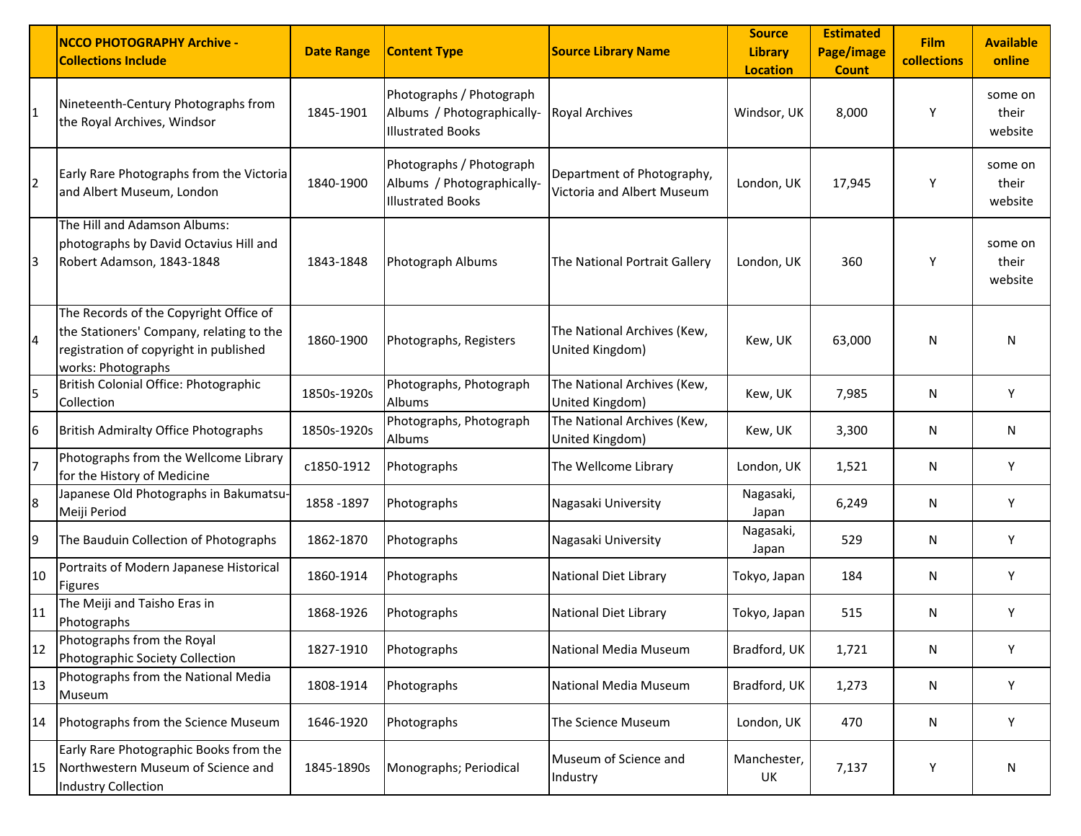|                | <b>NCCO PHOTOGRAPHY Archive -</b><br><b>Collections Include</b>                                                                                    | <b>Date Range</b> | <b>Content Type</b>                                                                | <b>Source Library Name</b>                               | <b>Source</b><br><b>Library</b><br><b>Location</b> | <b>Estimated</b><br>Page/image<br><b>Count</b> | <b>Film</b><br>collections | <b>Available</b><br>online  |
|----------------|----------------------------------------------------------------------------------------------------------------------------------------------------|-------------------|------------------------------------------------------------------------------------|----------------------------------------------------------|----------------------------------------------------|------------------------------------------------|----------------------------|-----------------------------|
| I1             | Nineteenth-Century Photographs from<br>the Royal Archives, Windsor                                                                                 | 1845-1901         | Photographs / Photograph<br>Albums / Photographically-<br><b>Illustrated Books</b> | Royal Archives                                           | Windsor, UK                                        | 8,000                                          | Υ                          | some on<br>their<br>website |
| $\overline{2}$ | Early Rare Photographs from the Victoria<br>and Albert Museum, London                                                                              | 1840-1900         | Photographs / Photograph<br>Albums / Photographically-<br><b>Illustrated Books</b> | Department of Photography,<br>Victoria and Albert Museum | London, UK                                         | 17,945                                         | Υ                          | some on<br>their<br>website |
| 3              | The Hill and Adamson Albums:<br>photographs by David Octavius Hill and<br>Robert Adamson, 1843-1848                                                | 1843-1848         | Photograph Albums                                                                  | The National Portrait Gallery                            | London, UK                                         | 360                                            | Y                          | some on<br>their<br>website |
| $\overline{A}$ | The Records of the Copyright Office of<br>the Stationers' Company, relating to the<br>registration of copyright in published<br>works: Photographs | 1860-1900         | Photographs, Registers                                                             | The National Archives (Kew,<br>United Kingdom)           | Kew, UK                                            | 63,000                                         | N                          | N                           |
| 5              | British Colonial Office: Photographic<br>Collection                                                                                                | 1850s-1920s       | Photographs, Photograph<br>Albums                                                  | The National Archives (Kew,<br>United Kingdom)           | Kew, UK                                            | 7,985                                          | N                          | Y                           |
| 6              | <b>British Admiralty Office Photographs</b>                                                                                                        | 1850s-1920s       | Photographs, Photograph<br>Albums                                                  | The National Archives (Kew,<br>United Kingdom)           | Kew, UK                                            | 3,300                                          | N                          | N                           |
| l7             | Photographs from the Wellcome Library<br>for the History of Medicine                                                                               | c1850-1912        | Photographs                                                                        | The Wellcome Library                                     | London, UK                                         | 1,521                                          | N                          | Y                           |
| 8              | Japanese Old Photographs in Bakumatsu-<br>Meiji Period                                                                                             | 1858-1897         | Photographs                                                                        | Nagasaki University                                      | Nagasaki,<br>Japan                                 | 6,249                                          | N                          | Y                           |
| 9              | The Bauduin Collection of Photographs                                                                                                              | 1862-1870         | Photographs                                                                        | Nagasaki University                                      | Nagasaki,<br>Japan                                 | 529                                            | N                          | Y                           |
| 10             | Portraits of Modern Japanese Historical<br>Figures                                                                                                 | 1860-1914         | Photographs                                                                        | National Diet Library                                    | Tokyo, Japan                                       | 184                                            | N                          | Y                           |
| 11             | The Meiji and Taisho Eras in<br>Photographs                                                                                                        | 1868-1926         | Photographs                                                                        | National Diet Library                                    | Tokyo, Japan                                       | 515                                            | N                          | Y                           |
| 12             | Photographs from the Royal<br>Photographic Society Collection                                                                                      | 1827-1910         | Photographs                                                                        | National Media Museum                                    | Bradford, UK                                       | 1,721                                          | N                          | Y                           |
| 13             | Photographs from the National Media<br>Museum                                                                                                      | 1808-1914         | Photographs                                                                        | National Media Museum                                    | Bradford, UK                                       | 1,273                                          | Ν                          | Y                           |
| 14             | Photographs from the Science Museum                                                                                                                | 1646-1920         | Photographs                                                                        | The Science Museum                                       | London, UK                                         | 470                                            | Ν                          | Y                           |
| 15             | Early Rare Photographic Books from the<br>Northwestern Museum of Science and<br><b>Industry Collection</b>                                         | 1845-1890s        | Monographs; Periodical                                                             | Museum of Science and<br>Industry                        | Manchester,<br>UK                                  | 7,137                                          | Υ                          | N                           |